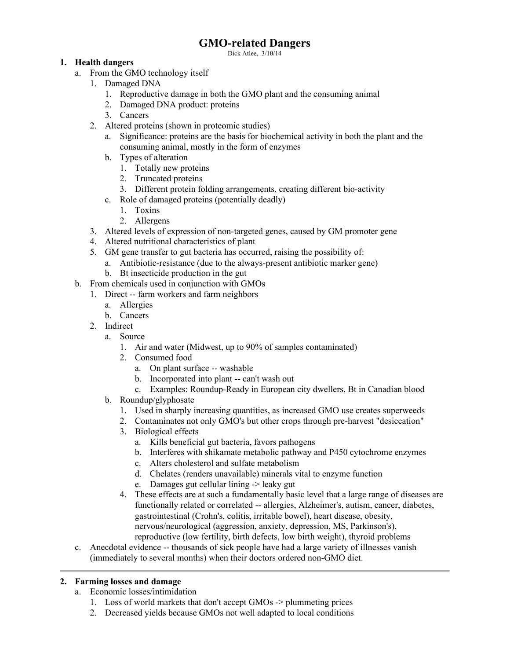# **GMO-related Dangers**

Dick Atlee, 3/10/14

### **1. Health dangers**

- a. From the GMO technology itself
	- 1. Damaged DNA
		- 1. Reproductive damage in both the GMO plant and the consuming animal
		- 2. Damaged DNA product: proteins
		- 3. Cancers
	- 2. Altered proteins (shown in proteomic studies)
		- a. Significance: proteins are the basis for biochemical activity in both the plant and the consuming animal, mostly in the form of enzymes
		- b. Types of alteration
			- 1. Totally new proteins
			- 2. Truncated proteins
			- 3. Different protein folding arrangements, creating different bio-activity
		- c. Role of damaged proteins (potentially deadly)
			- 1. Toxins
			- 2. Allergens
	- 3. Altered levels of expression of non-targeted genes, caused by GM promoter gene
	- 4. Altered nutritional characteristics of plant
	- 5. GM gene transfer to gut bacteria has occurred, raising the possibility of:
		- a. Antibiotic-resistance (due to the always-present antibiotic marker gene)
		- b. Bt insecticide production in the gut
- b. From chemicals used in conjunction with GMOs
	- 1. Direct -- farm workers and farm neighbors
		- a. Allergies
		- b. Cancers
		- 2. Indirect
			- a. Source
				- 1. Air and water (Midwest, up to 90% of samples contaminated)
				- 2. Consumed food
					- a. On plant surface -- washable
					- b. Incorporated into plant -- can't wash out
					- c. Examples: Roundup-Ready in European city dwellers, Bt in Canadian blood
			- b. Roundup/glyphosate
				- 1. Used in sharply increasing quantities, as increased GMO use creates superweeds
				- 2. Contaminates not only GMO's but other crops through pre-harvest "desiccation"
				- 3. Biological effects
					- a. Kills beneficial gut bacteria, favors pathogens
					- b. Interferes with shikamate metabolic pathway and P450 cytochrome enzymes
					- c. Alters cholesterol and sulfate metabolism
					- d. Chelates (renders unavailable) minerals vital to enzyme function
					- e. Damages gut cellular lining -> leaky gut
				- 4. These effects are at such a fundamentally basic level that a large range of diseases are functionally related or correlated -- allergies, Alzheimer's, autism, cancer, diabetes, gastrointestinal (Crohn's, colitis, irritable bowel), heart disease, obesity, nervous/neurological (aggression, anxiety, depression, MS, Parkinson's), reproductive (low fertility, birth defects, low birth weight), thyroid problems
- c. Anecdotal evidence -- thousands of sick people have had a large variety of illnesses vanish (immediately to several months) when their doctors ordered non-GMO diet.

### **2. Farming losses and damage**

- a. Economic losses/intimidation
	- 1. Loss of world markets that don't accept GMOs -> plummeting prices
	- 2. Decreased yields because GMOs not well adapted to local conditions